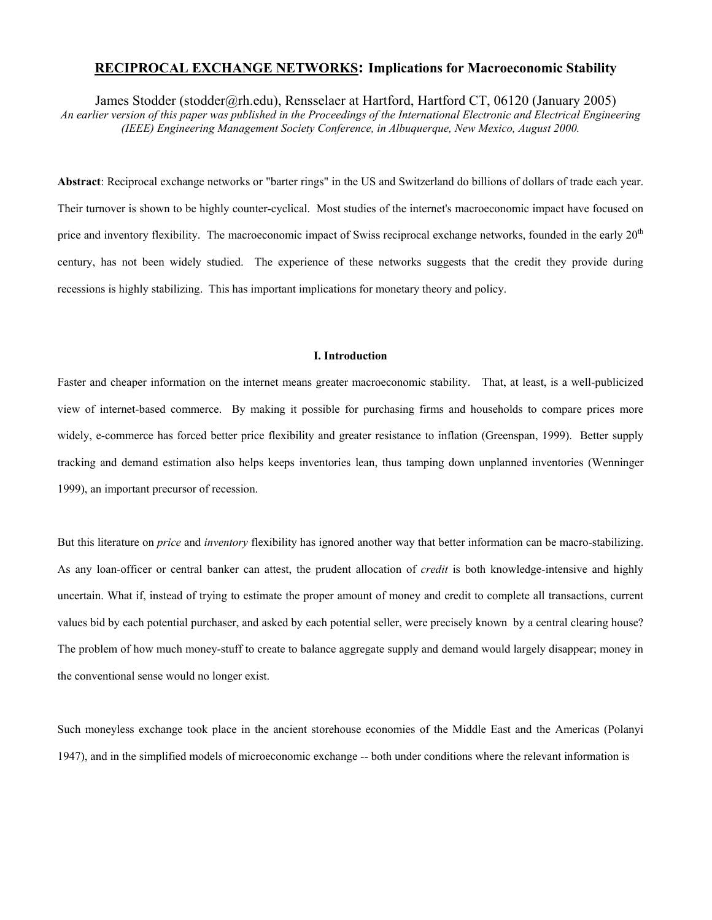## **RECIPROCAL EXCHANGE NETWORKS: Implications for Macroeconomic Stability**

James Stodder (stodder@rh.edu), Rensselaer at Hartford, Hartford CT, 06120 (January 2005)

*An earlier version of this paper was published in the Proceedings of the International Electronic and Electrical Engineering (IEEE) Engineering Management Society Conference, in Albuquerque, New Mexico, August 2000.* 

**Abstract**: Reciprocal exchange networks or "barter rings" in the US and Switzerland do billions of dollars of trade each year. Their turnover is shown to be highly counter-cyclical. Most studies of the internet's macroeconomic impact have focused on price and inventory flexibility. The macroeconomic impact of Swiss reciprocal exchange networks, founded in the early 20<sup>th</sup> century, has not been widely studied. The experience of these networks suggests that the credit they provide during recessions is highly stabilizing. This has important implications for monetary theory and policy.

#### **I. Introduction**

Faster and cheaper information on the internet means greater macroeconomic stability. That, at least, is a well-publicized view of internet-based commerce. By making it possible for purchasing firms and households to compare prices more widely, e-commerce has forced better price flexibility and greater resistance to inflation (Greenspan, 1999). Better supply tracking and demand estimation also helps keeps inventories lean, thus tamping down unplanned inventories (Wenninger 1999), an important precursor of recession.

But this literature on *price* and *inventory* flexibility has ignored another way that better information can be macro-stabilizing. As any loan-officer or central banker can attest, the prudent allocation of *credit* is both knowledge-intensive and highly uncertain. What if, instead of trying to estimate the proper amount of money and credit to complete all transactions, current values bid by each potential purchaser, and asked by each potential seller, were precisely known by a central clearing house? The problem of how much money-stuff to create to balance aggregate supply and demand would largely disappear; money in the conventional sense would no longer exist.

Such moneyless exchange took place in the ancient storehouse economies of the Middle East and the Americas (Polanyi 1947), and in the simplified models of microeconomic exchange -- both under conditions where the relevant information is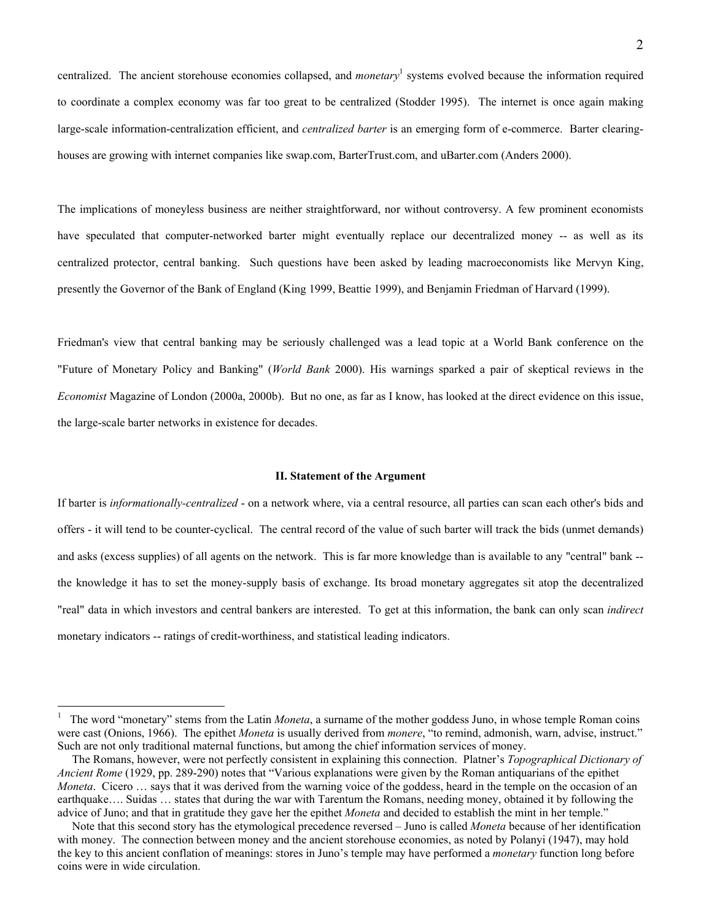centralized. The ancient storehouse economies collapsed, and *monetary*<sup>1</sup> systems evolved because the information required to coordinate a complex economy was far too great to be centralized (Stodder 1995). The internet is once again making large-scale information-centralization efficient, and *centralized barter* is an emerging form of e-commerce. Barter clearinghouses are growing with internet companies like swap.com, BarterTrust.com, and uBarter.com (Anders 2000).

The implications of moneyless business are neither straightforward, nor without controversy. A few prominent economists have speculated that computer-networked barter might eventually replace our decentralized money -- as well as its centralized protector, central banking. Such questions have been asked by leading macroeconomists like Mervyn King, presently the Governor of the Bank of England (King 1999, Beattie 1999), and Benjamin Friedman of Harvard (1999).

Friedman's view that central banking may be seriously challenged was a lead topic at a World Bank conference on the "Future of Monetary Policy and Banking" (*World Bank* 2000). His warnings sparked a pair of skeptical reviews in the *Economist* Magazine of London (2000a, 2000b). But no one, as far as I know, has looked at the direct evidence on this issue, the large-scale barter networks in existence for decades.

#### **II. Statement of the Argument**

If barter is *informationally-centralized* - on a network where, via a central resource, all parties can scan each other's bids and offers - it will tend to be counter-cyclical. The central record of the value of such barter will track the bids (unmet demands) and asks (excess supplies) of all agents on the network. This is far more knowledge than is available to any "central" bank - the knowledge it has to set the money-supply basis of exchange. Its broad monetary aggregates sit atop the decentralized "real" data in which investors and central bankers are interested. To get at this information, the bank can only scan *indirect*  monetary indicators -- ratings of credit-worthiness, and statistical leading indicators.

 $\overline{a}$ 

<sup>1</sup> The word "monetary" stems from the Latin *Moneta*, a surname of the mother goddess Juno, in whose temple Roman coins were cast (Onions, 1966). The epithet *Moneta* is usually derived from *monere*, "to remind, admonish, warn, advise, instruct." Such are not only traditional maternal functions, but among the chief information services of money.

The Romans, however, were not perfectly consistent in explaining this connection. Platner's *Topographical Dictionary of Ancient Rome* (1929, pp. 289-290) notes that "Various explanations were given by the Roman antiquarians of the epithet *Moneta*. Cicero … says that it was derived from the warning voice of the goddess, heard in the temple on the occasion of an earthquake…. Suidas … states that during the war with Tarentum the Romans, needing money, obtained it by following the advice of Juno; and that in gratitude they gave her the epithet *Moneta* and decided to establish the mint in her temple."

Note that this second story has the etymological precedence reversed – Juno is called *Moneta* because of her identification with money. The connection between money and the ancient storehouse economies, as noted by Polanyi (1947), may hold the key to this ancient conflation of meanings: stores in Juno's temple may have performed a *monetary* function long before coins were in wide circulation.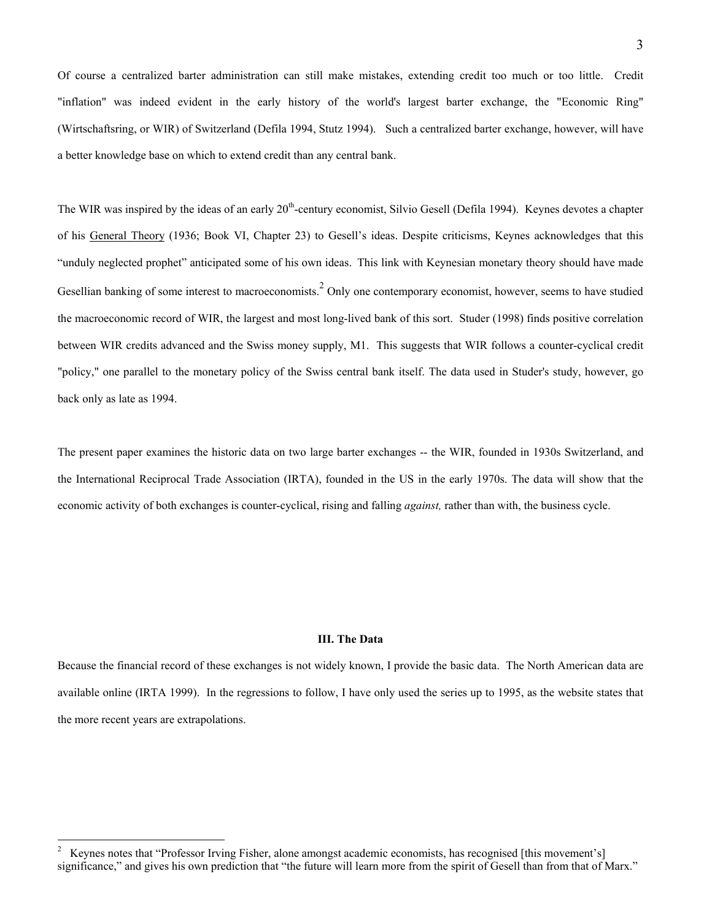Of course a centralized barter administration can still make mistakes, extending credit too much or too little. Credit "inflation" was indeed evident in the early history of the world's largest barter exchange, the "Economic Ring" (Wirtschaftsring, or WIR) of Switzerland (Defila 1994, Stutz 1994). Such a centralized barter exchange, however, will have a better knowledge base on which to extend credit than any central bank.

The WIR was inspired by the ideas of an early 20<sup>th</sup>-century economist, Silvio Gesell (Defila 1994). Keynes devotes a chapter of his General Theory (1936; Book VI, Chapter 23) to Gesell's ideas. Despite criticisms, Keynes acknowledges that this "unduly neglected prophet" anticipated some of his own ideas. This link with Keynesian monetary theory should have made Gesellian banking of some interest to macroeconomists.  $2$  Only one contemporary economist, however, seems to have studied the macroeconomic record of WIR, the largest and most long-lived bank of this sort. Studer (1998) finds positive correlation between WIR credits advanced and the Swiss money supply, M1. This suggests that WIR follows a counter-cyclical credit "policy," one parallel to the monetary policy of the Swiss central bank itself. The data used in Studer's study, however, go back only as late as 1994.

The present paper examines the historic data on two large barter exchanges -- the WIR, founded in 1930s Switzerland, and the International Reciprocal Trade Association (IRTA), founded in the US in the early 1970s. The data will show that the economic activity of both exchanges is counter-cyclical, rising and falling *against,* rather than with, the business cycle.

# **III. The Data**

Because the financial record of these exchanges is not widely known, I provide the basic data. The North American data are available online (IRTA 1999). In the regressions to follow, I have only used the series up to 1995, as the website states that the more recent years are extrapolations.

 $\frac{1}{2}$  Keynes notes that "Professor Irving Fisher, alone amongst academic economists, has recognised [this movement's] significance," and gives his own prediction that "the future will learn more from the spirit of Gesell than from that of Marx."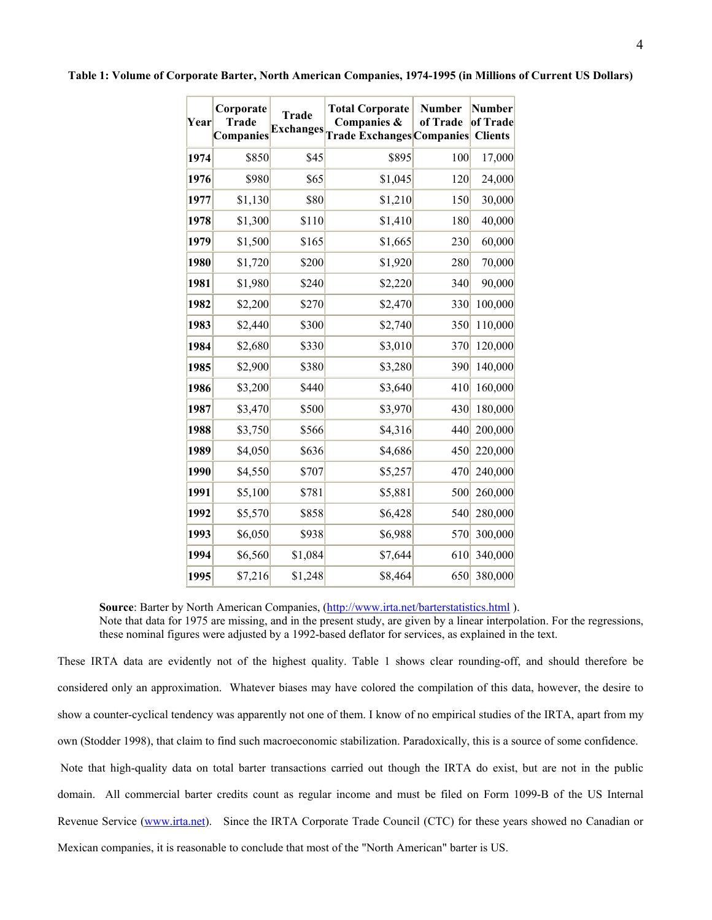| Year | Corporate<br><b>Trade</b><br><b>Companies</b> | <b>Trade</b><br><b>Exchanges</b> | <b>Total Corporate</b><br>Companies &<br><b>Trade Exchanges Companies Clients</b> | <b>Number</b><br>of Trade | Number<br>of Trade |
|------|-----------------------------------------------|----------------------------------|-----------------------------------------------------------------------------------|---------------------------|--------------------|
| 1974 | \$850                                         | \$45                             | \$895                                                                             | 100                       | 17,000             |
| 1976 | \$980                                         | \$65                             | \$1,045                                                                           | 120                       | 24,000             |
| 1977 | \$1,130                                       | \$80                             | \$1,210                                                                           | 150                       | 30,000             |
| 1978 | \$1,300                                       | \$110                            | \$1,410                                                                           | 180                       | 40,000             |
| 1979 | \$1,500                                       | \$165                            | \$1,665                                                                           | 230                       | 60,000             |
| 1980 | \$1,720                                       | \$200                            | \$1,920                                                                           | 280                       | 70,000             |
| 1981 | \$1,980                                       | \$240                            | \$2,220                                                                           | 340                       | 90,000             |
| 1982 | \$2,200                                       | \$270                            | \$2,470                                                                           | 330                       | 100,000            |
| 1983 | \$2,440                                       | \$300                            | \$2,740                                                                           | 350                       | 110,000            |
| 1984 | \$2,680                                       | \$330                            | \$3,010                                                                           | 370                       | 120,000            |
| 1985 | \$2,900                                       | \$380                            | \$3,280                                                                           | 390                       | 140,000            |
| 1986 | \$3,200                                       | \$440                            | \$3,640                                                                           | 410                       | 160,000            |
| 1987 | \$3,470                                       | \$500                            | \$3,970                                                                           | 430                       | 180,000            |
| 1988 | \$3,750                                       | \$566                            | \$4,316                                                                           | 440                       | 200,000            |
| 1989 | \$4,050                                       | \$636                            | \$4,686                                                                           | 450                       | 220,000            |
| 1990 | \$4,550                                       | \$707                            | \$5,257                                                                           | 470                       | 240,000            |
| 1991 | \$5,100                                       | \$781                            | \$5,881                                                                           | 500                       | 260,000            |
| 1992 | \$5,570                                       | \$858                            | \$6,428                                                                           | 540                       | 280,000            |
| 1993 | \$6,050                                       | \$938                            | \$6,988                                                                           | 570                       | 300,000            |
| 1994 | \$6,560                                       | \$1,084                          | \$7,644                                                                           | 610                       | 340,000            |
| 1995 | \$7,216                                       | \$1,248                          | \$8,464                                                                           | 650                       | 380,000            |

**Table 1: Volume of Corporate Barter, North American Companies, 1974-1995 (in Millions of Current US Dollars)** 

Source: Barter by North American Companies, (http://www.irta.net/barterstatistics.html).

Note that data for 1975 are missing, and in the present study, are given by a linear interpolation. For the regressions, these nominal figures were adjusted by a 1992-based deflator for services, as explained in the text.

These IRTA data are evidently not of the highest quality. Table 1 shows clear rounding-off, and should therefore be considered only an approximation. Whatever biases may have colored the compilation of this data, however, the desire to show a counter-cyclical tendency was apparently not one of them. I know of no empirical studies of the IRTA, apart from my own (Stodder 1998), that claim to find such macroeconomic stabilization. Paradoxically, this is a source of some confidence. Note that high-quality data on total barter transactions carried out though the IRTA do exist, but are not in the public domain. All commercial barter credits count as regular income and must be filed on Form 1099-B of the US Internal Revenue Service (www.irta.net). Since the IRTA Corporate Trade Council (CTC) for these years showed no Canadian or Mexican companies, it is reasonable to conclude that most of the "North American" barter is US.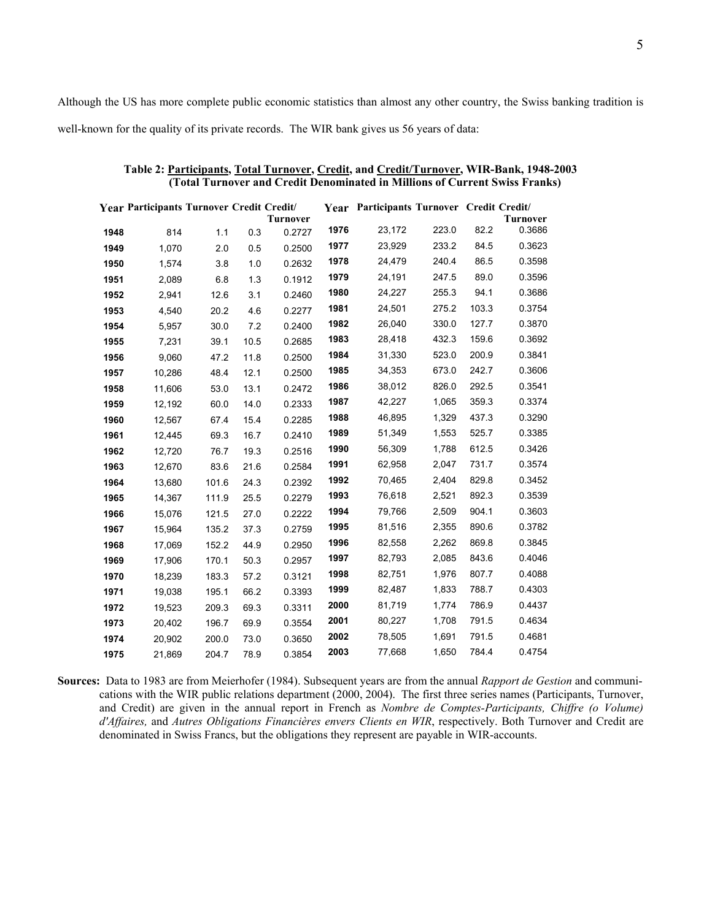Although the US has more complete public economic statistics than almost any other country, the Swiss banking tradition is well-known for the quality of its private records. The WIR bank gives us 56 years of data:

|      | Year Participants Turnover Credit Credit/ |       |      |                 |      | Year Participants Turnover Credit Credit/ |       |       |                           |
|------|-------------------------------------------|-------|------|-----------------|------|-------------------------------------------|-------|-------|---------------------------|
|      |                                           |       |      | <b>Turnover</b> | 1976 |                                           | 223.0 | 82.2  | <b>Turnover</b><br>0.3686 |
| 1948 | 814                                       | 1.1   | 0.3  | 0.2727          |      | 23,172                                    |       |       |                           |
| 1949 | 1,070                                     | 2.0   | 0.5  | 0.2500          | 1977 | 23,929                                    | 233.2 | 84.5  | 0.3623                    |
| 1950 | 1,574                                     | 3.8   | 1.0  | 0.2632          | 1978 | 24,479                                    | 240.4 | 86.5  | 0.3598                    |
| 1951 | 2,089                                     | 6.8   | 1.3  | 0.1912          | 1979 | 24,191                                    | 247.5 | 89.0  | 0.3596                    |
| 1952 | 2,941                                     | 12.6  | 3.1  | 0.2460          | 1980 | 24,227                                    | 255.3 | 94.1  | 0.3686                    |
| 1953 | 4,540                                     | 20.2  | 4.6  | 0.2277          | 1981 | 24,501                                    | 275.2 | 103.3 | 0.3754                    |
| 1954 | 5,957                                     | 30.0  | 7.2  | 0.2400          | 1982 | 26,040                                    | 330.0 | 127.7 | 0.3870                    |
| 1955 | 7,231                                     | 39.1  | 10.5 | 0.2685          | 1983 | 28,418                                    | 432.3 | 159.6 | 0.3692                    |
| 1956 | 9,060                                     | 47.2  | 11.8 | 0.2500          | 1984 | 31,330                                    | 523.0 | 200.9 | 0.3841                    |
| 1957 | 10,286                                    | 48.4  | 12.1 | 0.2500          | 1985 | 34,353                                    | 673.0 | 242.7 | 0.3606                    |
| 1958 | 11,606                                    | 53.0  | 13.1 | 0.2472          | 1986 | 38,012                                    | 826.0 | 292.5 | 0.3541                    |
| 1959 | 12,192                                    | 60.0  | 14.0 | 0.2333          | 1987 | 42,227                                    | 1,065 | 359.3 | 0.3374                    |
| 1960 | 12,567                                    | 67.4  | 15.4 | 0.2285          | 1988 | 46,895                                    | 1,329 | 437.3 | 0.3290                    |
| 1961 | 12,445                                    | 69.3  | 16.7 | 0.2410          | 1989 | 51,349                                    | 1,553 | 525.7 | 0.3385                    |
| 1962 | 12,720                                    | 76.7  | 19.3 | 0.2516          | 1990 | 56,309                                    | 1,788 | 612.5 | 0.3426                    |
| 1963 | 12,670                                    | 83.6  | 21.6 | 0.2584          | 1991 | 62,958                                    | 2,047 | 731.7 | 0.3574                    |
| 1964 | 13,680                                    | 101.6 | 24.3 | 0.2392          | 1992 | 70,465                                    | 2,404 | 829.8 | 0.3452                    |
| 1965 | 14,367                                    | 111.9 | 25.5 | 0.2279          | 1993 | 76,618                                    | 2,521 | 892.3 | 0.3539                    |
| 1966 | 15,076                                    | 121.5 | 27.0 | 0.2222          | 1994 | 79,766                                    | 2,509 | 904.1 | 0.3603                    |
| 1967 | 15,964                                    | 135.2 | 37.3 | 0.2759          | 1995 | 81,516                                    | 2,355 | 890.6 | 0.3782                    |
| 1968 | 17,069                                    | 152.2 | 44.9 | 0.2950          | 1996 | 82,558                                    | 2,262 | 869.8 | 0.3845                    |
| 1969 | 17,906                                    | 170.1 | 50.3 | 0.2957          | 1997 | 82,793                                    | 2,085 | 843.6 | 0.4046                    |
| 1970 | 18,239                                    | 183.3 | 57.2 | 0.3121          | 1998 | 82,751                                    | 1,976 | 807.7 | 0.4088                    |
| 1971 | 19,038                                    | 195.1 | 66.2 | 0.3393          | 1999 | 82,487                                    | 1,833 | 788.7 | 0.4303                    |
| 1972 | 19,523                                    | 209.3 | 69.3 | 0.3311          | 2000 | 81,719                                    | 1,774 | 786.9 | 0.4437                    |
| 1973 | 20,402                                    | 196.7 | 69.9 | 0.3554          | 2001 | 80,227                                    | 1,708 | 791.5 | 0.4634                    |
| 1974 | 20,902                                    | 200.0 | 73.0 | 0.3650          | 2002 | 78,505                                    | 1,691 | 791.5 | 0.4681                    |
| 1975 | 21,869                                    | 204.7 | 78.9 | 0.3854          | 2003 | 77,668                                    | 1,650 | 784.4 | 0.4754                    |

| Table 2: Participants, Total Turnover, Credit, and Credit/Turnover, WIR-Bank, 1948-2003 |  |
|-----------------------------------------------------------------------------------------|--|
| (Total Turnover and Credit Denominated in Millions of Current Swiss Franks)             |  |

**Sources:** Data to 1983 are from Meierhofer (1984). Subsequent years are from the annual *Rapport de Gestion* and communications with the WIR public relations department (2000, 2004). The first three series names (Participants, Turnover, and Credit) are given in the annual report in French as *Nombre de Comptes-Participants, Chiffre (o Volume) d'Affaires,* and *Autres Obligations Financières envers Clients en WIR*, respectively. Both Turnover and Credit are denominated in Swiss Francs, but the obligations they represent are payable in WIR-accounts.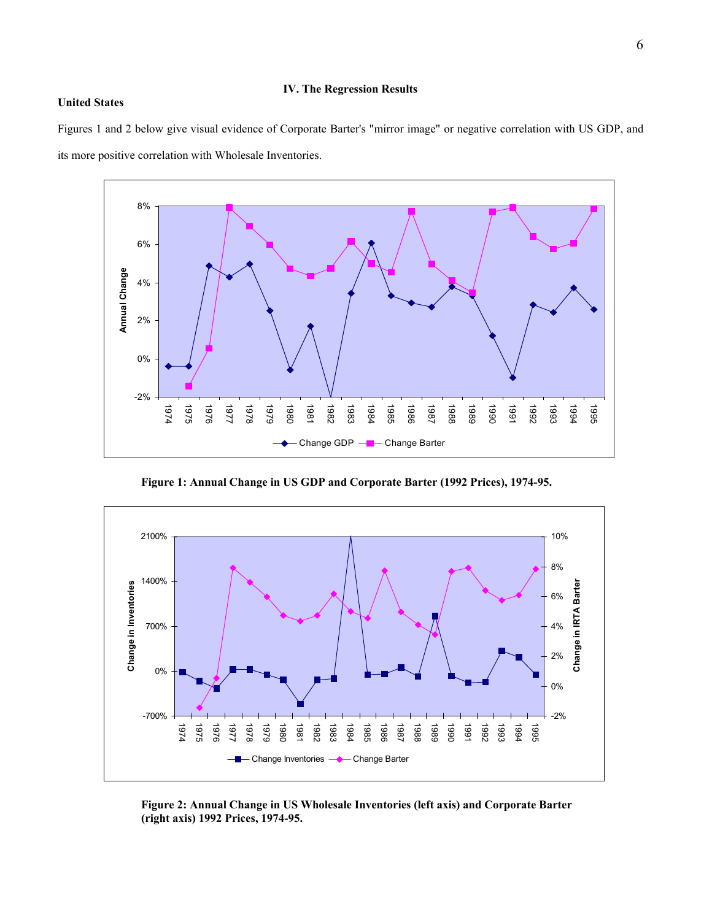# **IV. The Regression Results**

#### **United States**

Figures 1 and 2 below give visual evidence of Corporate Barter's "mirror image" or negative correlation with US GDP, and its more positive correlation with Wholesale Inventories.



 **Figure 1: Annual Change in US GDP and Corporate Barter (1992 Prices), 1974-95.** 



 **Figure 2: Annual Change in US Wholesale Inventories (left axis) and Corporate Barter (right axis) 1992 Prices, 1974-95.**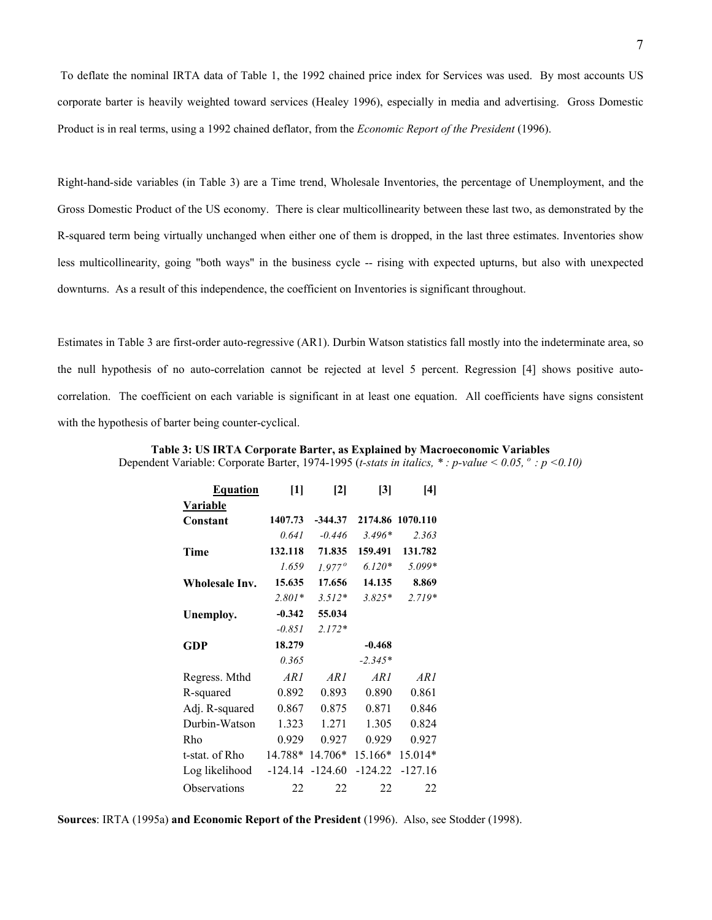7

 To deflate the nominal IRTA data of Table 1, the 1992 chained price index for Services was used. By most accounts US corporate barter is heavily weighted toward services (Healey 1996), especially in media and advertising. Gross Domestic Product is in real terms, using a 1992 chained deflator, from the *Economic Report of the President* (1996).

Right-hand-side variables (in Table 3) are a Time trend, Wholesale Inventories, the percentage of Unemployment, and the Gross Domestic Product of the US economy. There is clear multicollinearity between these last two, as demonstrated by the R-squared term being virtually unchanged when either one of them is dropped, in the last three estimates. Inventories show less multicollinearity, going "both ways" in the business cycle -- rising with expected upturns, but also with unexpected downturns. As a result of this independence, the coefficient on Inventories is significant throughout.

Estimates in Table 3 are first-order auto-regressive (AR1). Durbin Watson statistics fall mostly into the indeterminate area, so the null hypothesis of no auto-correlation cannot be rejected at level 5 percent. Regression [4] shows positive autocorrelation. The coefficient on each variable is significant in at least one equation. All coefficients have signs consistent with the hypothesis of barter being counter-cyclical.

| Table 3: US IRTA Corporate Barter, as Explained by Macroeconomic Variables                                                            |  |
|---------------------------------------------------------------------------------------------------------------------------------------|--|
| Dependent Variable: Corporate Barter, 1974-1995 ( <i>t-stats in italics</i> , * : <i>p-value</i> < 0.05, $\degree$ : <i>p</i> < 0.10) |  |

| <b>Equation</b> | $[1] % \includegraphics[width=0.9\columnwidth]{figures/fig_1a} \caption{The figure shows the number of times on the right, and the number of times on the right, respectively.} \label{fig:1}$ | $\mathbf{[2]}$  | $\lbrack 3 \rbrack$ | [4]              |
|-----------------|------------------------------------------------------------------------------------------------------------------------------------------------------------------------------------------------|-----------------|---------------------|------------------|
| <b>Variable</b> |                                                                                                                                                                                                |                 |                     |                  |
| Constant        | 1407.73                                                                                                                                                                                        | $-344.37$       |                     | 2174.86 1070.110 |
|                 | 0.641                                                                                                                                                                                          | $-0.446$        | $3.496*$            | 2.363            |
| Time            | 132.118                                                                                                                                                                                        | 71.835          | 159.491             | 131.782          |
|                 | 1.659                                                                                                                                                                                          | $1.977^{\circ}$ | $6.120*$            | $5.099*$         |
| Wholesale Inv.  | 15.635                                                                                                                                                                                         | 17.656          | 14.135              | 8.869            |
|                 | $2.801*$                                                                                                                                                                                       | $3.512*$        | $3.825*$            | $2.719*$         |
| Unemploy.       | $-0.342$                                                                                                                                                                                       | 55.034          |                     |                  |
|                 | $-0.851$                                                                                                                                                                                       | $2.172*$        |                     |                  |
| GDP             | 18.279                                                                                                                                                                                         |                 | $-0.468$            |                  |
|                 | 0.365                                                                                                                                                                                          |                 | $-2.345*$           |                  |
| Regress. Mthd   | AR 1                                                                                                                                                                                           | AR 1            | AR 1                | ARI              |
| R-squared       | 0.892                                                                                                                                                                                          | 0.893           | 0.890               | 0.861            |
| Adj. R-squared  | 0.867                                                                                                                                                                                          | 0.875           | 0.871               | 0.846            |
| Durbin-Watson   | 1.323                                                                                                                                                                                          | 1.271           | 1.305               | 0.824            |
| Rho             | 0.929                                                                                                                                                                                          | 0.927           | 0.929               | 0.927            |
| t-stat. of Rho  |                                                                                                                                                                                                | 14.788* 14.706* | 15.166*             | 15.014*          |
| Log likelihood  | $-124.14$                                                                                                                                                                                      | $-124.60$       | $-124.22$           | $-127.16$        |
| Observations    | 22                                                                                                                                                                                             | 22              | 22                  | 22               |

**Sources**: IRTA (1995a) **and Economic Report of the President** (1996). Also, see Stodder (1998).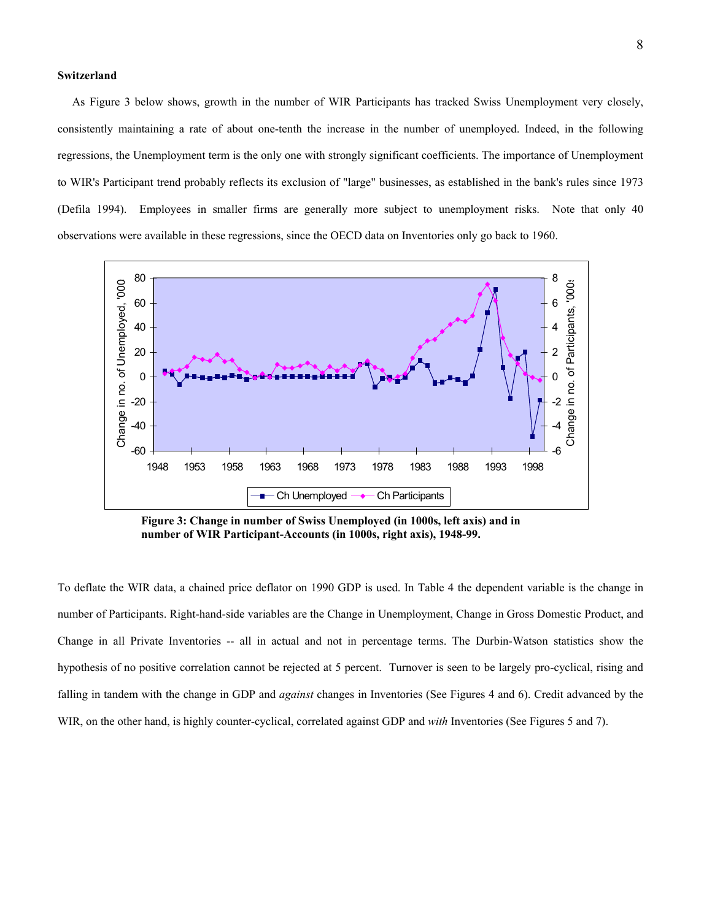#### **Switzerland**

 As Figure 3 below shows, growth in the number of WIR Participants has tracked Swiss Unemployment very closely, consistently maintaining a rate of about one-tenth the increase in the number of unemployed. Indeed, in the following regressions, the Unemployment term is the only one with strongly significant coefficients. The importance of Unemployment to WIR's Participant trend probably reflects its exclusion of "large" businesses, as established in the bank's rules since 1973 (Defila 1994). Employees in smaller firms are generally more subject to unemployment risks. Note that only 40 observations were available in these regressions, since the OECD data on Inventories only go back to 1960.



 **Figure 3: Change in number of Swiss Unemployed (in 1000s, left axis) and in number of WIR Participant-Accounts (in 1000s, right axis), 1948-99.** 

To deflate the WIR data, a chained price deflator on 1990 GDP is used. In Table 4 the dependent variable is the change in number of Participants. Right-hand-side variables are the Change in Unemployment, Change in Gross Domestic Product, and Change in all Private Inventories -- all in actual and not in percentage terms. The Durbin-Watson statistics show the hypothesis of no positive correlation cannot be rejected at 5 percent. Turnover is seen to be largely pro-cyclical, rising and falling in tandem with the change in GDP and *against* changes in Inventories (See Figures 4 and 6). Credit advanced by the WIR, on the other hand, is highly counter-cyclical, correlated against GDP and *with* Inventories (See Figures 5 and 7).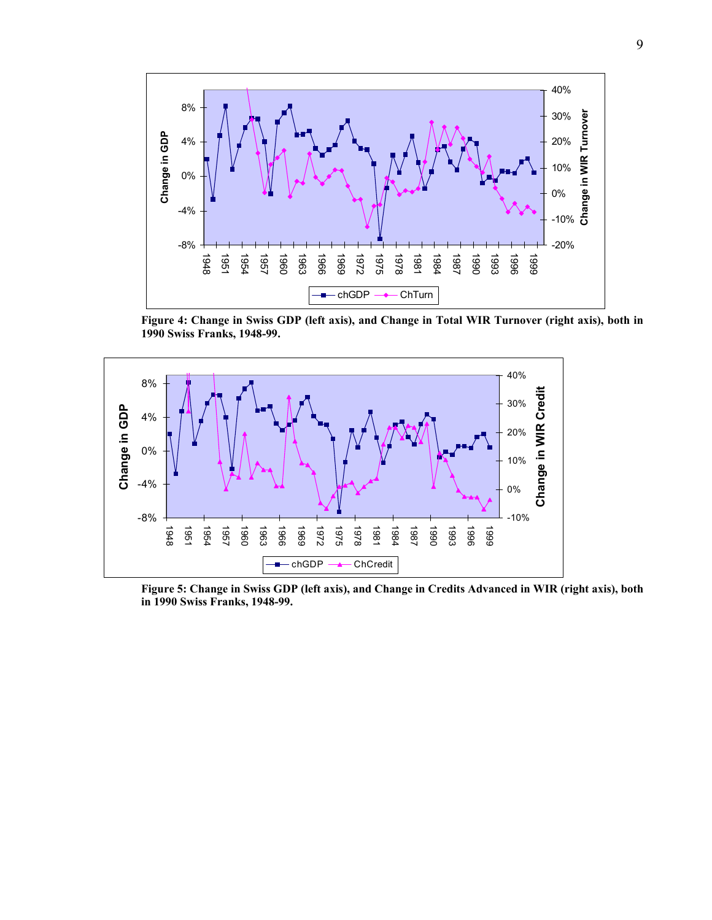

**Figure 4: Change in Swiss GDP (left axis), and Change in Total WIR Turnover (right axis), both in 1990 Swiss Franks, 1948-99.** 



**Figure 5: Change in Swiss GDP (left axis), and Change in Credits Advanced in WIR (right axis), both in 1990 Swiss Franks, 1948-99.**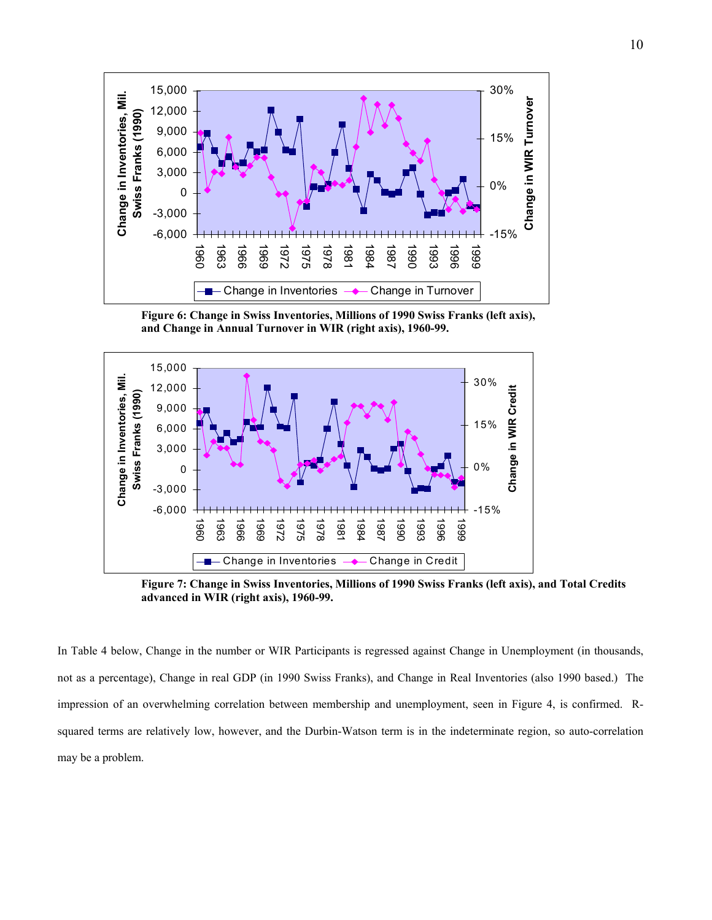

 **Figure 6: Change in Swiss Inventories, Millions of 1990 Swiss Franks (left axis), and Change in Annual Turnover in WIR (right axis), 1960-99.**



 **Figure 7: Change in Swiss Inventories, Millions of 1990 Swiss Franks (left axis), and Total Credits advanced in WIR (right axis), 1960-99.** 

In Table 4 below, Change in the number or WIR Participants is regressed against Change in Unemployment (in thousands, not as a percentage), Change in real GDP (in 1990 Swiss Franks), and Change in Real Inventories (also 1990 based.) The impression of an overwhelming correlation between membership and unemployment, seen in Figure 4, is confirmed. Rsquared terms are relatively low, however, and the Durbin-Watson term is in the indeterminate region, so auto-correlation may be a problem.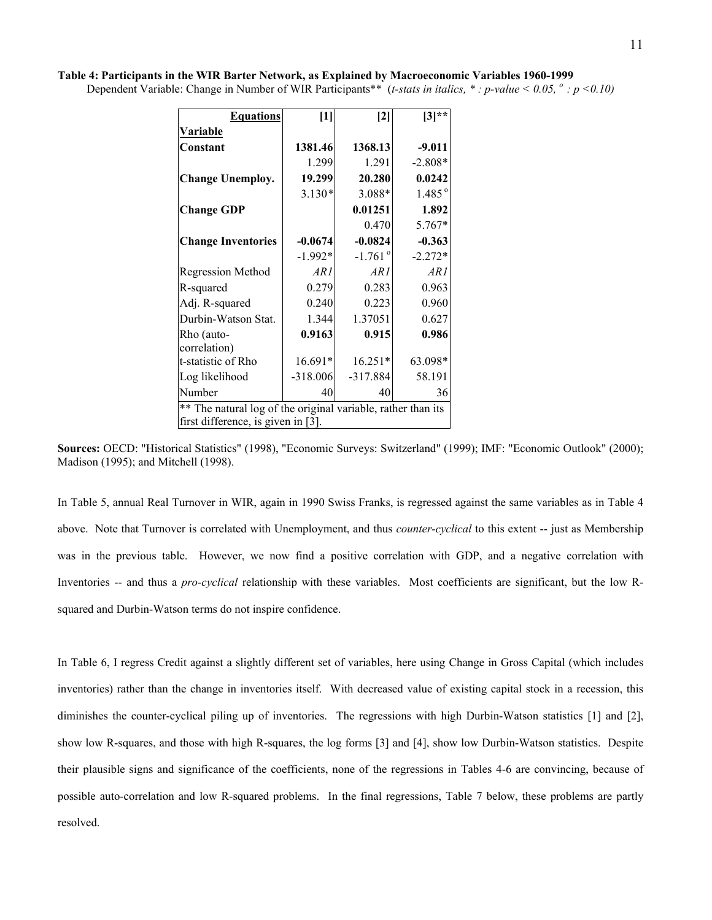| Table 4: Participants in the WIR Barter Network, as Explained by Macroeconomic Variables 1960-1999                                              |  |  |
|-------------------------------------------------------------------------------------------------------------------------------------------------|--|--|
| Dependent Variable: Change in Number of WIR Participants** ( <i>t-stats in italics</i> , *: <i>p-value</i> < 0.05, $\degree$ : <i>p</i> < 0.10) |  |  |

| <b>Equations</b>                                             | $[1]$      | $[2]$                 | $[3]$ **        |  |  |  |  |
|--------------------------------------------------------------|------------|-----------------------|-----------------|--|--|--|--|
| Variable                                                     |            |                       |                 |  |  |  |  |
| Constant                                                     | 1381.46    | 1368.13               | $-9.011$        |  |  |  |  |
|                                                              | 1.299      | 1.291                 | $-2.808*$       |  |  |  |  |
| <b>Change Unemploy.</b>                                      | 19.299     | 20.280                | 0.0242          |  |  |  |  |
|                                                              | $3.130*$   | $3.088*$              | $1.485^{\circ}$ |  |  |  |  |
| <b>Change GDP</b>                                            |            | 0.01251               | 1.892           |  |  |  |  |
|                                                              |            | 0.470                 | 5.767*          |  |  |  |  |
| <b>Change Inventories</b>                                    | $-0.0674$  | $-0.0824$             | $-0.363$        |  |  |  |  |
|                                                              | $-1.992*$  | $-1.761$ <sup>o</sup> | $-2.272*$       |  |  |  |  |
| <b>Regression Method</b>                                     | ARI        | ARI                   | ARI             |  |  |  |  |
| R-squared                                                    | 0.279      | 0.283                 | 0.963           |  |  |  |  |
| Adj. R-squared                                               | 0.240      | 0.223                 | 0.960           |  |  |  |  |
| Durbin-Watson Stat.                                          | 1.344      | 1.37051               | 0.627           |  |  |  |  |
| Rho (auto-                                                   | 0.9163     | 0.915                 | 0.986           |  |  |  |  |
| correlation)                                                 |            |                       |                 |  |  |  |  |
| t-statistic of Rho                                           | $16.691*$  | $16.251*$             | 63.098*         |  |  |  |  |
| Log likelihood                                               | $-318.006$ | $-317.884$            | 58.191          |  |  |  |  |
| Number                                                       | 40         | 40                    | 36              |  |  |  |  |
| ** The natural log of the original variable, rather than its |            |                       |                 |  |  |  |  |
| first difference, is given in [3].                           |            |                       |                 |  |  |  |  |

**Sources:** OECD: "Historical Statistics" (1998), "Economic Surveys: Switzerland" (1999); IMF: "Economic Outlook" (2000); Madison (1995); and Mitchell (1998).

In Table 5, annual Real Turnover in WIR, again in 1990 Swiss Franks, is regressed against the same variables as in Table 4 above. Note that Turnover is correlated with Unemployment, and thus *counter-cyclical* to this extent -- just as Membership was in the previous table. However, we now find a positive correlation with GDP, and a negative correlation with Inventories -- and thus a *pro-cyclical* relationship with these variables. Most coefficients are significant, but the low Rsquared and Durbin-Watson terms do not inspire confidence.

In Table 6, I regress Credit against a slightly different set of variables, here using Change in Gross Capital (which includes inventories) rather than the change in inventories itself. With decreased value of existing capital stock in a recession, this diminishes the counter-cyclical piling up of inventories. The regressions with high Durbin-Watson statistics [1] and [2], show low R-squares, and those with high R-squares, the log forms [3] and [4], show low Durbin-Watson statistics. Despite their plausible signs and significance of the coefficients, none of the regressions in Tables 4-6 are convincing, because of possible auto-correlation and low R-squared problems. In the final regressions, Table 7 below, these problems are partly resolved.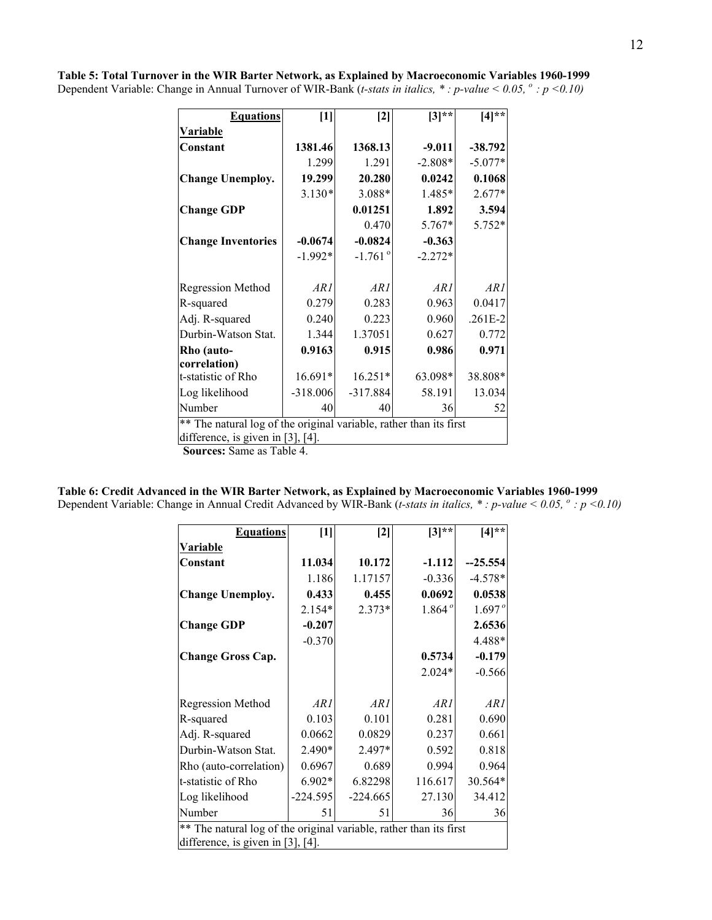| <b>Equations</b>                                                   | $\lceil 1 \rceil$ | $[2]$                 | $[3]$ **  | $[4]$ **  |  |  |
|--------------------------------------------------------------------|-------------------|-----------------------|-----------|-----------|--|--|
| Variable                                                           |                   |                       |           |           |  |  |
| Constant                                                           | 1381.46           | 1368.13               | $-9.011$  | $-38.792$ |  |  |
|                                                                    | 1.299             | 1.291                 | $-2.808*$ | $-5.077*$ |  |  |
| <b>Change Unemploy.</b>                                            | 19.299            | 20.280                | 0.0242    | 0.1068    |  |  |
|                                                                    | $3.130*$          | 3.088*                | 1.485*    | $2.677*$  |  |  |
| <b>Change GDP</b>                                                  |                   | 0.01251               | 1.892     | 3.594     |  |  |
|                                                                    |                   | 0.470                 | 5.767*    | 5.752*    |  |  |
| <b>Change Inventories</b>                                          | $-0.0674$         | $-0.0824$             | $-0.363$  |           |  |  |
|                                                                    | $-1.992*$         | $-1.761$ <sup>o</sup> | $-2.272*$ |           |  |  |
|                                                                    |                   |                       |           |           |  |  |
| <b>Regression Method</b>                                           | ARI               | AR1                   | ARI       | AR1       |  |  |
| R-squared                                                          | 0.279             | 0.283                 | 0.963     | 0.0417    |  |  |
| Adj. R-squared                                                     | 0.240             | 0.223                 | 0.960     | $.261E-2$ |  |  |
| Durbin-Watson Stat.                                                | 1.344             | 1.37051               | 0.627     | 0.772     |  |  |
| Rho (auto-                                                         | 0.9163            | 0.915                 | 0.986     | 0.971     |  |  |
| correlation)                                                       |                   |                       |           |           |  |  |
| t-statistic of Rho                                                 | 16.691*           | $16.251*$             | 63.098*   | 38.808*   |  |  |
| Log likelihood                                                     | $-318.006$        | $-317.884$            | 58.191    | 13.034    |  |  |
| Number                                                             | 40                | 40                    | 36        | 52        |  |  |
| ** The natural log of the original variable, rather than its first |                   |                       |           |           |  |  |
| difference, is given in $[3]$ , $[4]$ .                            |                   |                       |           |           |  |  |

**Table 5: Total Turnover in the WIR Barter Network, as Explained by Macroeconomic Variables 1960-1999** Dependent Variable: Change in Annual Turnover of WIR-Bank (*t-stats in italics,* \*: p-value < 0.05,  $\degree$  : p <0.10)

 **Sources:** Same as Table 4.

**Table 6: Credit Advanced in the WIR Barter Network, as Explained by Macroeconomic Variables 1960-1999**

Dependent Variable: Change in Annual Credit Advanced by WIR-Bank (*t-stats in italics, \*: p-value < 0.05, °: p <0.10)* 

| <b>Equations</b>                                                   | $[1]$      | $[2]$      | $[3]**$  | $[4]$ **  |
|--------------------------------------------------------------------|------------|------------|----------|-----------|
| <b>Variable</b>                                                    |            |            |          |           |
| Constant                                                           | 11.034     | 10.172     | $-1.112$ | $-25.554$ |
|                                                                    | 1.186      | 1.17157    | $-0.336$ | $-4.578*$ |
| <b>Change Unemploy.</b>                                            | 0.433      | 0.455      | 0.0692   | 0.0538    |
|                                                                    | $2.154*$   | $2.373*$   | 1.864°   | 1.697°    |
| <b>Change GDP</b>                                                  | $-0.207$   |            |          | 2.6536    |
|                                                                    | $-0.370$   |            |          | 4.488*    |
| <b>Change Gross Cap.</b>                                           |            |            | 0.5734   | $-0.179$  |
|                                                                    |            |            | $2.024*$ | $-0.566$  |
|                                                                    |            |            |          |           |
| <b>Regression Method</b>                                           | ARI        | ARI        | ARI      | AR 1      |
| R-squared                                                          | 0.103      | 0.101      | 0.281    | 0.690     |
| Adj. R-squared                                                     | 0.0662     | 0.0829     | 0.237    | 0.661     |
| Durbin-Watson Stat.                                                | 2.490*     | 2.497*     | 0.592    | 0.818     |
| Rho (auto-correlation)                                             | 0.6967     | 0.689      | 0.994    | 0.964     |
| t-statistic of Rho                                                 | $6.902*$   | 6.82298    | 116.617  | 30.564*   |
| Log likelihood                                                     | $-224.595$ | $-224.665$ | 27.130   | 34.412    |
| Number                                                             | 51         | 51         | 36       | 36        |
| ** The natural log of the original variable, rather than its first |            |            |          |           |
| difference, is given in [3], [4].                                  |            |            |          |           |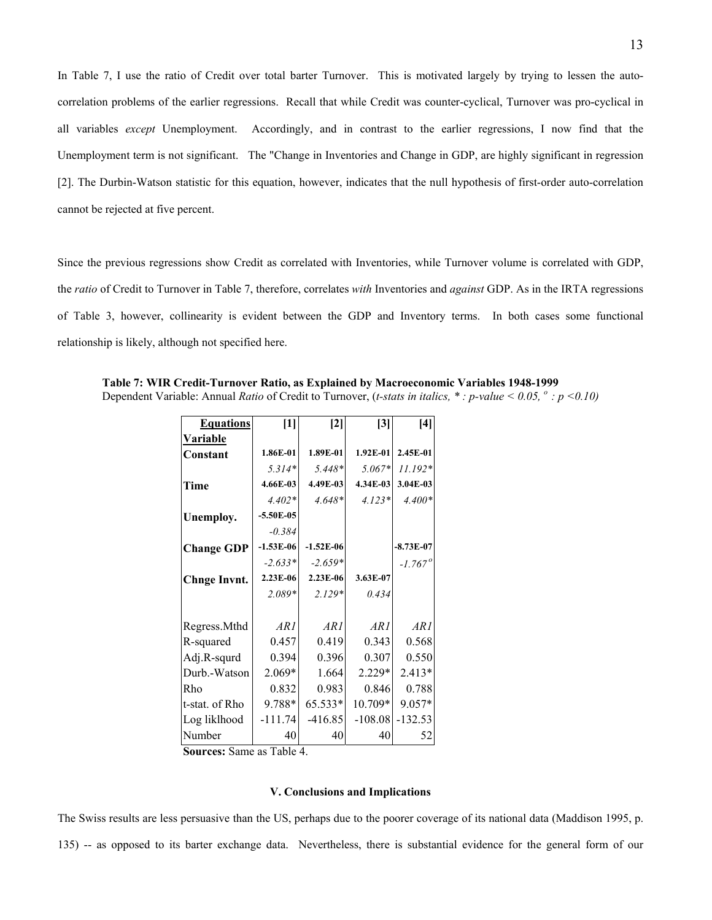In Table 7, I use the ratio of Credit over total barter Turnover. This is motivated largely by trying to lessen the autocorrelation problems of the earlier regressions. Recall that while Credit was counter-cyclical, Turnover was pro-cyclical in all variables *except* Unemployment. Accordingly, and in contrast to the earlier regressions, I now find that the Unemployment term is not significant. The "Change in Inventories and Change in GDP, are highly significant in regression [2]. The Durbin-Watson statistic for this equation, however, indicates that the null hypothesis of first-order auto-correlation cannot be rejected at five percent.

Since the previous regressions show Credit as correlated with Inventories, while Turnover volume is correlated with GDP, the *ratio* of Credit to Turnover in Table 7, therefore, correlates *with* Inventories and *against* GDP. As in the IRTA regressions of Table 3, however, collinearity is evident between the GDP and Inventory terms. In both cases some functional relationship is likely, although not specified here.

| <b>Equations</b>    | $[1]$       | $\lceil 2 \rceil$ | $\mathbf{[3]}$ | [4]                   |
|---------------------|-------------|-------------------|----------------|-----------------------|
| Variable            |             |                   |                |                       |
| Constant            | 1.86E-01    | 1.89E-01          | $1.92E-01$     | 2.45E-01              |
|                     | $5.314*$    | $5.448*$          | $5.067*$       | $11.192*$             |
| Time                | 4.66E-03    | 4.49E-03          | 4.34E-03       | 3.04E-03              |
|                     | $4.402*$    | $4.648*$          | $4.123*$       | $4.400*$              |
| Unemploy.           | $-5.50E-05$ |                   |                |                       |
|                     | $-0.384$    |                   |                |                       |
| <b>Change GDP</b>   | $-1.53E-06$ | $-1.52E-06$       |                | $-8.73E-07$           |
|                     | $-2.633*$   | $-2.659*$         |                | $-1.767$ <sup>o</sup> |
| <b>Chnge Invnt.</b> | 2.23E-06    | 2.23E-06          | 3.63E-07       |                       |
|                     | $2.089*$    | $2.129*$          | 0.434          |                       |
|                     |             |                   |                |                       |
| Regress.Mthd        | ARI         | ARI               | ARI            | AR 1                  |
| R-squared           | 0.457       | 0.419             | 0.343          | 0.568                 |
| Adj.R-squrd         | 0.394       | 0.396             | 0.307          | 0.550                 |
| Durb.-Watson        | 2.069*      | 1.664             | $2.229*$       | $2.413*$              |
| Rho                 | 0.832       | 0.983             | 0.846          | 0.788                 |
| t-stat. of Rho      | 9.788*      | 65.533*           | 10.709*        | 9.057*                |
| Log liklhood        | $-111.74$   | $-416.85$         | $-108.08$      | $-132.53$             |
| Number              | 40          | 40                | 40             | 52                    |

 **Table 7: WIR Credit-Turnover Ratio, as Explained by Macroeconomic Variables 1948-1999**

Dependent Variable: Annual *Ratio* of Credit to Turnover, (*t-stats in italics, \* : p-value < 0.05, o : p <0.10)* 

 **Sources:** Same as Table 4.

#### **V. Conclusions and Implications**

The Swiss results are less persuasive than the US, perhaps due to the poorer coverage of its national data (Maddison 1995, p.

135) -- as opposed to its barter exchange data. Nevertheless, there is substantial evidence for the general form of our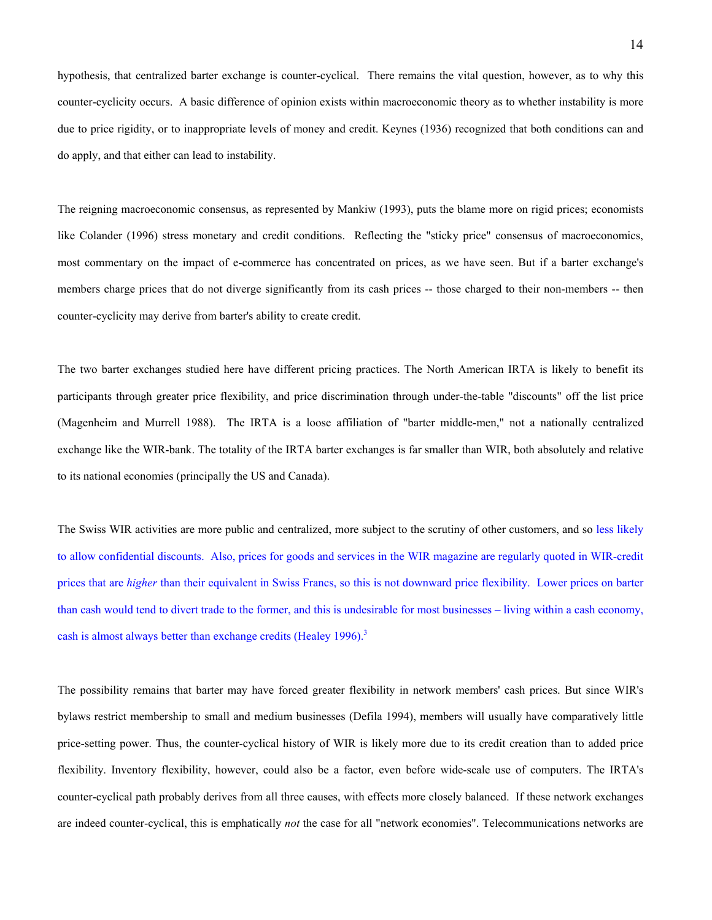hypothesis, that centralized barter exchange is counter-cyclical. There remains the vital question, however, as to why this counter-cyclicity occurs. A basic difference of opinion exists within macroeconomic theory as to whether instability is more due to price rigidity, or to inappropriate levels of money and credit. Keynes (1936) recognized that both conditions can and do apply, and that either can lead to instability.

The reigning macroeconomic consensus, as represented by Mankiw (1993), puts the blame more on rigid prices; economists like Colander (1996) stress monetary and credit conditions. Reflecting the "sticky price" consensus of macroeconomics, most commentary on the impact of e-commerce has concentrated on prices, as we have seen. But if a barter exchange's members charge prices that do not diverge significantly from its cash prices -- those charged to their non-members -- then counter-cyclicity may derive from barter's ability to create credit.

The two barter exchanges studied here have different pricing practices. The North American IRTA is likely to benefit its participants through greater price flexibility, and price discrimination through under-the-table "discounts" off the list price (Magenheim and Murrell 1988). The IRTA is a loose affiliation of "barter middle-men," not a nationally centralized exchange like the WIR-bank. The totality of the IRTA barter exchanges is far smaller than WIR, both absolutely and relative to its national economies (principally the US and Canada).

The Swiss WIR activities are more public and centralized, more subject to the scrutiny of other customers, and so less likely to allow confidential discounts. Also, prices for goods and services in the WIR magazine are regularly quoted in WIR-credit prices that are *higher* than their equivalent in Swiss Francs, so this is not downward price flexibility. Lower prices on barter than cash would tend to divert trade to the former, and this is undesirable for most businesses – living within a cash economy, cash is almost always better than exchange credits (Healey 1996).<sup>3</sup>

The possibility remains that barter may have forced greater flexibility in network members' cash prices. But since WIR's bylaws restrict membership to small and medium businesses (Defila 1994), members will usually have comparatively little price-setting power. Thus, the counter-cyclical history of WIR is likely more due to its credit creation than to added price flexibility. Inventory flexibility, however, could also be a factor, even before wide-scale use of computers. The IRTA's counter-cyclical path probably derives from all three causes, with effects more closely balanced. If these network exchanges are indeed counter-cyclical, this is emphatically *not* the case for all "network economies". Telecommunications networks are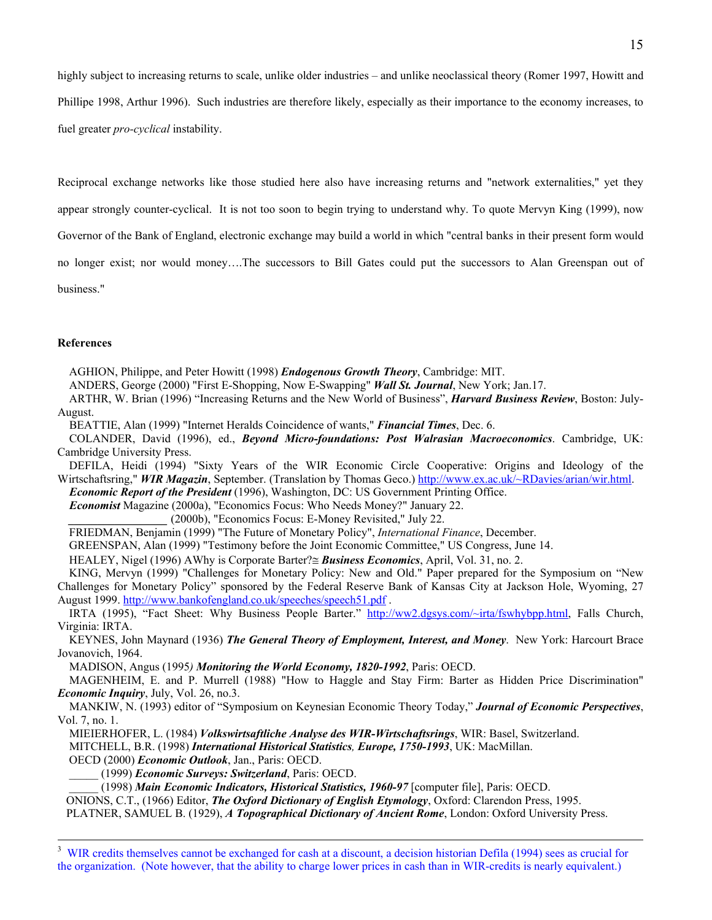highly subject to increasing returns to scale, unlike older industries – and unlike neoclassical theory (Romer 1997, Howitt and Phillipe 1998, Arthur 1996). Such industries are therefore likely, especially as their importance to the economy increases, to fuel greater *pro-cyclical* instability.

Reciprocal exchange networks like those studied here also have increasing returns and "network externalities," yet they

appear strongly counter-cyclical. It is not too soon to begin trying to understand why. To quote Mervyn King (1999), now

Governor of the Bank of England, electronic exchange may build a world in which "central banks in their present form would

no longer exist; nor would money….The successors to Bill Gates could put the successors to Alan Greenspan out of

business."

# **References**

AGHION, Philippe, and Peter Howitt (1998) *Endogenous Growth Theory*, Cambridge: MIT.

ANDERS, George (2000) "First E-Shopping, Now E-Swapping" *Wall St. Journal*, New York; Jan.17.

 ARTHR, W. Brian (1996) "Increasing Returns and the New World of Business", *Harvard Business Review*, Boston: July-August.

BEATTIE, Alan (1999) "Internet Heralds Coincidence of wants," *Financial Times*, Dec. 6.

 COLANDER, David (1996), ed., *Beyond Micro-foundations: Post Walrasian Macroeconomics*. Cambridge, UK: Cambridge University Press.

 DEFILA, Heidi (1994) "Sixty Years of the WIR Economic Circle Cooperative: Origins and Ideology of the Wirtschaftsring," **WIR Magazin**, September. (Translation by Thomas Geco.) http://www.ex.ac.uk/~RDavies/arian/wir.html.

 *Economic Report of the President* (1996), Washington, DC: US Government Printing Office.

 *Economist* Magazine (2000a), "Economics Focus: Who Needs Money?" January 22.

*\_\_\_\_\_\_\_\_\_\_\_\_\_\_\_\_\_* (2000b), "Economics Focus: E-Money Revisited," July 22.

FRIEDMAN, Benjamin (1999) "The Future of Monetary Policy", *International Finance*, December.

GREENSPAN, Alan (1999) "Testimony before the Joint Economic Committee," US Congress, June 14.

HEALEY, Nigel (1996) ΑWhy is Corporate Barter?≅ *Business Economics*, April, Vol. 31, no. 2.

 KING, Mervyn (1999) "Challenges for Monetary Policy: New and Old." Paper prepared for the Symposium on "New Challenges for Monetary Policy" sponsored by the Federal Reserve Bank of Kansas City at Jackson Hole, Wyoming, 27 August 1999. http://www.bankofengland.co.uk/speeches/speech51.pdf .

IRTA (1995), "Fact Sheet: Why Business People Barter." http://ww2.dgsys.com/~irta/fswhybpp.html, Falls Church, Virginia: IRTA.

 KEYNES, John Maynard (1936) *The General Theory of Employment, Interest, and Money*. New York: Harcourt Brace Jovanovich, 1964.

MADISON, Angus (1995*) Monitoring the World Economy, 1820-1992*, Paris: OECD.

 MAGENHEIM, E. and P. Murrell (1988) "How to Haggle and Stay Firm: Barter as Hidden Price Discrimination" *Economic Inquiry*, July, Vol. 26, no.3.

 MANKIW, N. (1993) editor of "Symposium on Keynesian Economic Theory Today," *Journal of Economic Perspectives*, Vol. 7, no. 1.

MIEIERHOFER, L. (1984) *Volkswirtsaftliche Analyse des WIR-Wirtschaftsrings*, WIR: Basel, Switzerland.

MITCHELL, B.R. (1998) *International Historical Statistics, Europe, 1750-1993*, UK: MacMillan.

OECD (2000) *Economic Outlook*, Jan., Paris: OECD.

\_\_\_\_\_ (1999) *Economic Surveys: Switzerland*, Paris: OECD.

\_\_\_\_\_ (1998) *Main Economic Indicators, Historical Statistics, 1960-97* [computer file], Paris: OECD.

ONIONS, C.T., (1966) Editor, *The Oxford Dictionary of English Etymology*, Oxford: Clarendon Press, 1995.

PLATNER, SAMUEL B. (1929), *A Topographical Dictionary of Ancient Rome*, London: Oxford University Press.

 3 <sup>3</sup> WIR credits themselves cannot be exchanged for cash at a discount, a decision historian Defila (1994) sees as crucial for the organization. (Note however, that the ability to charge lower prices in cash than in WIR-credits is nearly equivalent.)